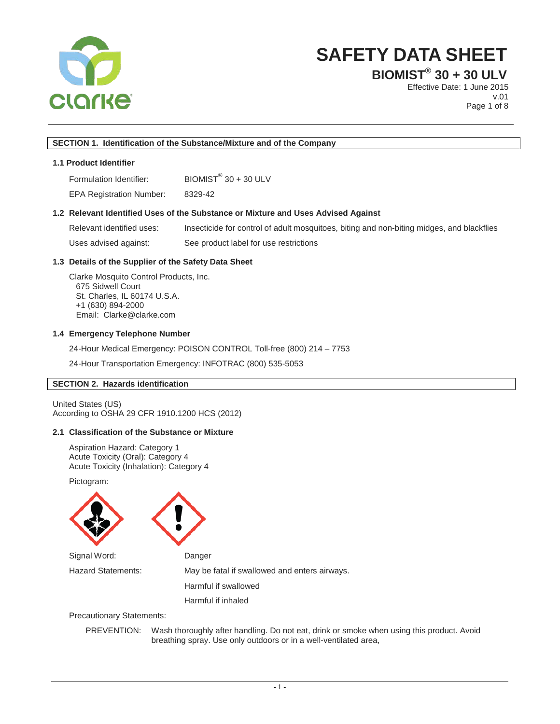

**BIOMIST® 30 + 30 ULV**

Effective Date: 1 June 2015 v.01 Page 1 of 8

## **SECTION 1. Identification of the Substance/Mixture and of the Company**

## **1.1 Product Identifier**

Formulation Identifier: BIOMIST® 30 + 30 ULV

EPA Registration Number: 8329-42

#### **1.2 Relevant Identified Uses of the Substance or Mixture and Uses Advised Against**

Relevant identified uses: Insecticide for control of adult mosquitoes, biting and non-biting midges, and blackflies Uses advised against: See product label for use restrictions

## **1.3 Details of the Supplier of the Safety Data Sheet**

Clarke Mosquito Control Products, Inc. 675 Sidwell Court St. Charles, IL 60174 U.S.A. +1 (630) 894-2000 Email: Clarke@clarke.com

#### **1.4 Emergency Telephone Number**

24-Hour Medical Emergency: POISON CONTROL Toll-free (800) 214 – 7753

24-Hour Transportation Emergency: INFOTRAC (800) 535-5053

## **SECTION 2. Hazards identification**

United States (US) According to OSHA 29 CFR 1910.1200 HCS (2012)

## **2.1 Classification of the Substance or Mixture**

Aspiration Hazard: Category 1 Acute Toxicity (Oral): Category 4 Acute Toxicity (Inhalation): Category 4

Pictogram:



Precautionary Statements:

PREVENTION:Wash thoroughly after handling. Do not eat, drink or smoke when using this product. Avoid breathing spray. Use only outdoors or in a well-ventilated area,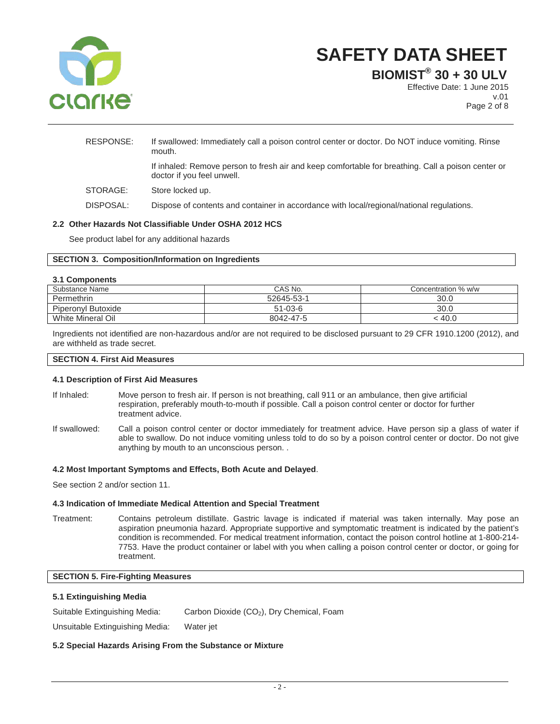

**BIOMIST® 30 + 30 ULV**

Effective Date: 1 June 2015 v.01 Page 2 of 8

| RESPONSE: | If swallowed: Immediately call a poison control center or doctor. Do NOT induce vomiting. Rinse<br>mouth.                        |
|-----------|----------------------------------------------------------------------------------------------------------------------------------|
|           | If inhaled: Remove person to fresh air and keep comfortable for breathing. Call a poison center or<br>doctor if you feel unwell. |
| STORAGE:  | Store locked up.                                                                                                                 |
| DISPOSAL: | Dispose of contents and container in accordance with local/regional/national regulations.                                        |
|           |                                                                                                                                  |

## **2.2 Other Hazards Not Classifiable Under OSHA 2012 HCS**

See product label for any additional hazards

## **SECTION 3. Composition/Information on Ingredients**

#### **3.1 Components**

| ----------------   |               |                     |
|--------------------|---------------|---------------------|
| Substance Name     | CAS No.       | Concentration % w/w |
| Permethrin         | 52645-53-1    | 30.0                |
| Piperonyl Butoxide | $51 - 03 - 6$ | 30.0                |
| White Mineral Oil  | 8042-47-5     | 40.0                |

Ingredients not identified are non-hazardous and/or are not required to be disclosed pursuant to 29 CFR 1910.1200 (2012), and are withheld as trade secret.

#### **SECTION 4. First Aid Measures**

## **4.1 Description of First Aid Measures**

- If Inhaled: Move person to fresh air. If person is not breathing, call 911 or an ambulance, then give artificial respiration, preferably mouth-to-mouth if possible. Call a poison control center or doctor for further treatment advice.
- If swallowed: Call a poison control center or doctor immediately for treatment advice. Have person sip a glass of water if able to swallow. Do not induce vomiting unless told to do so by a poison control center or doctor. Do not give anything by mouth to an unconscious person. .

## **4.2 Most Important Symptoms and Effects, Both Acute and Delayed**.

See section 2 and/or section 11.

## **4.3 Indication of Immediate Medical Attention and Special Treatment**

Treatment: Contains petroleum distillate. Gastric lavage is indicated if material was taken internally. May pose an aspiration pneumonia hazard. Appropriate supportive and symptomatic treatment is indicated by the patient's condition is recommended. For medical treatment information, contact the poison control hotline at 1-800-214- 7753. Have the product container or label with you when calling a poison control center or doctor, or going for treatment.

## **SECTION 5. Fire-Fighting Measures**

#### **5.1 Extinguishing Media**

Suitable Extinguishing Media: Carbon Dioxide (CO<sub>2</sub>), Dry Chemical, Foam

Unsuitable Extinguishing Media: Water jet

## **5.2 Special Hazards Arising From the Substance or Mixture**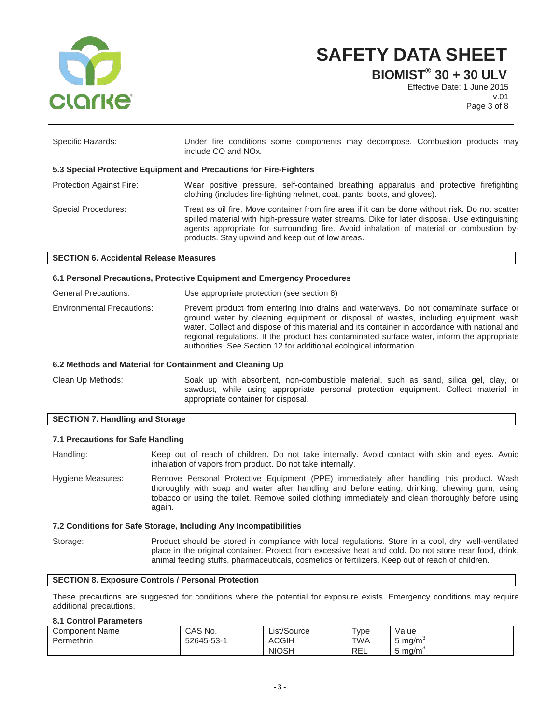

**BIOMIST® 30 + 30 ULV**

Effective Date: 1 June 2015 v.01 Page 3 of 8

| Specific Hazards:               | Under fire conditions some components may decompose. Combustion products may<br>include CO and NO <sub>x</sub> .                                                                                                                                                                                                                                |
|---------------------------------|-------------------------------------------------------------------------------------------------------------------------------------------------------------------------------------------------------------------------------------------------------------------------------------------------------------------------------------------------|
|                                 | 5.3 Special Protective Equipment and Precautions for Fire-Fighters                                                                                                                                                                                                                                                                              |
| <b>Protection Against Fire:</b> | Wear positive pressure, self-contained breathing apparatus and protective firefighting<br>clothing (includes fire-fighting helmet, coat, pants, boots, and gloves).                                                                                                                                                                             |
| Special Procedures:             | Treat as oil fire. Move container from fire area if it can be done without risk. Do not scatter<br>spilled material with high-pressure water streams. Dike for later disposal. Use extinguishing<br>agents appropriate for surrounding fire. Avoid inhalation of material or combustion by-<br>products. Stay upwind and keep out of low areas. |

#### **SECTION 6. Accidental Release Measures**

## **6.1 Personal Precautions, Protective Equipment and Emergency Procedures**

| General Precautions:              | Use appropriate protection (see section 8)                                                                                                                                                                                                                                                                                                                                                                                                         |
|-----------------------------------|----------------------------------------------------------------------------------------------------------------------------------------------------------------------------------------------------------------------------------------------------------------------------------------------------------------------------------------------------------------------------------------------------------------------------------------------------|
| <b>Environmental Precautions:</b> | Prevent product from entering into drains and waterways. Do not contaminate surface or<br>ground water by cleaning equipment or disposal of wastes, including equipment wash<br>water. Collect and dispose of this material and its container in accordance with national and<br>regional regulations. If the product has contaminated surface water, inform the appropriate<br>authorities. See Section 12 for additional ecological information. |

#### **6.2 Methods and Material for Containment and Cleaning Up**

Clean Up Methods: Soak up with absorbent, non-combustible material, such as sand, silica gel, clay, or sawdust, while using appropriate personal protection equipment. Collect material in appropriate container for disposal.

## **SECTION 7. Handling and Storage**

#### **7.1 Precautions for Safe Handling**

Handling: Keep out of reach of children. Do not take internally. Avoid contact with skin and eyes. Avoid inhalation of vapors from product. Do not take internally.

Hygiene Measures: Remove Personal Protective Equipment (PPE) immediately after handling this product. Wash thoroughly with soap and water after handling and before eating, drinking, chewing gum, using tobacco or using the toilet. Remove soiled clothing immediately and clean thoroughly before using again.

#### **7.2 Conditions for Safe Storage, Including Any Incompatibilities**

Storage: Product should be stored in compliance with local regulations. Store in a cool, dry, well-ventilated place in the original container. Protect from excessive heat and cold. Do not store near food, drink, animal feeding stuffs, pharmaceuticals, cosmetics or fertilizers. Keep out of reach of children.

#### **SECTION 8. Exposure Controls / Personal Protection**

These precautions are suggested for conditions where the potential for exposure exists. Emergency conditions may require additional precautions.

## **8.1 Control Parameters**

| Component Name | CAS No.   | List/Source  | –<br>vpe   | Value     |
|----------------|-----------|--------------|------------|-----------|
| Permethrin     | 52645-53- | <b>ACGIH</b> | <b>TWA</b> | ma/m<br>ີ |
|                |           | <b>NIOSH</b> | <b>REL</b> | ma/m<br>ີ |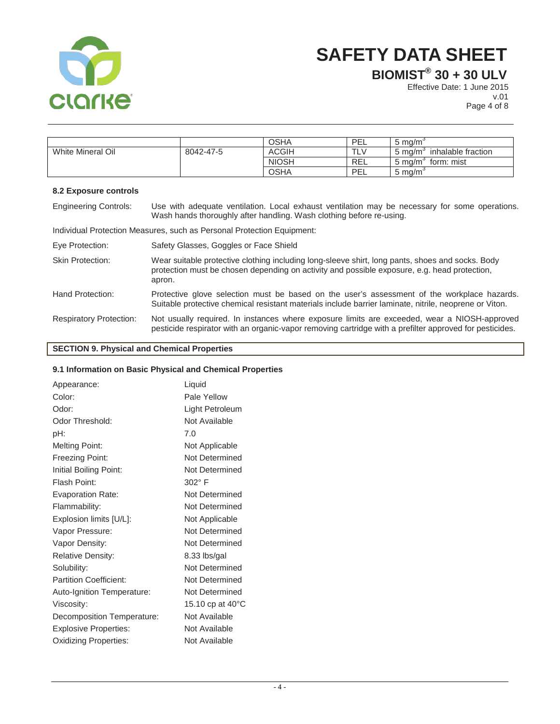

**BIOMIST® 30 + 30 ULV**

Effective Date: 1 June 2015 v.01

Page 4 of 8

|                   |           | <b>OSHA</b>  | PEL | 5 ma/m                         |
|-------------------|-----------|--------------|-----|--------------------------------|
| White Mineral Oil | 8042-47-5 | <b>ACGIH</b> |     | inhalable fraction<br>5 ma/m   |
|                   |           | <b>NIOSH</b> | REL | form: mist<br>$5 \text{ mg/m}$ |
|                   |           | <b>OSHA</b>  | PEL | $5 \text{ ma/m}$               |

## **8.2 Exposure controls**

| <b>Engineering Controls:</b>   | Use with adequate ventilation. Local exhaust ventilation may be necessary for some operations.<br>Wash hands thoroughly after handling. Wash clothing before re-using.                                     |
|--------------------------------|------------------------------------------------------------------------------------------------------------------------------------------------------------------------------------------------------------|
|                                | Individual Protection Measures, such as Personal Protection Equipment:                                                                                                                                     |
| Eye Protection:                | Safety Glasses, Goggles or Face Shield                                                                                                                                                                     |
| <b>Skin Protection:</b>        | Wear suitable protective clothing including long-sleeve shirt, long pants, shoes and socks. Body<br>protection must be chosen depending on activity and possible exposure, e.g. head protection,<br>apron. |
| Hand Protection:               | Protective glove selection must be based on the user's assessment of the workplace hazards.<br>Suitable protective chemical resistant materials include barrier laminate, nitrile, neoprene or Viton.      |
| <b>Respiratory Protection:</b> | Not usually required. In instances where exposure limits are exceeded, wear a NIOSH-approved<br>pesticide respirator with an organic-vapor removing cartridge with a prefilter approved for pesticides.    |

# **SECTION 9. Physical and Chemical Properties**

## **9.1 Information on Basic Physical and Chemical Properties**

| Appearance:                   | Liquid                     |
|-------------------------------|----------------------------|
| Color:                        | Pale Yellow                |
| Odor:                         | Light Petroleum            |
| Odor Threshold:               | Not Available              |
| pH:                           | 7.0                        |
| <b>Melting Point:</b>         | Not Applicable             |
| Freezing Point:               | Not Determined             |
| Initial Boiling Point:        | Not Determined             |
| Flash Point:                  | $302^\circ$ F              |
| <b>Evaporation Rate:</b>      | Not Determined             |
| Flammability:                 | Not Determined             |
| Explosion limits [U/L]:       | Not Applicable             |
| Vapor Pressure:               | Not Determined             |
| Vapor Density:                | Not Determined             |
| <b>Relative Density:</b>      | 8.33 lbs/gal               |
| Solubility:                   | Not Determined             |
| <b>Partition Coefficient:</b> | Not Determined             |
| Auto-Ignition Temperature:    | Not Determined             |
| Viscosity:                    | 15.10 cp at $40^{\circ}$ C |
| Decomposition Temperature:    | Not Available              |
| <b>Explosive Properties:</b>  | Not Available              |
| <b>Oxidizing Properties:</b>  | Not Available              |
|                               |                            |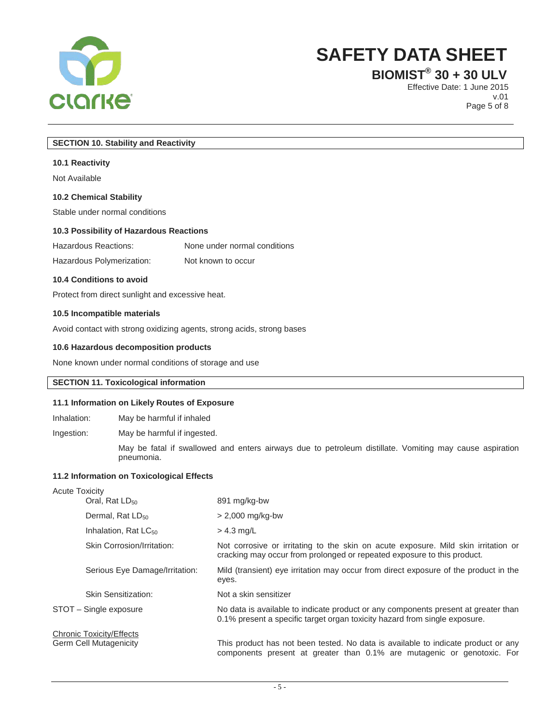

**BIOMIST® 30 + 30 ULV**

Effective Date: 1 June 2015 v.01 Page 5 of 8

## **SECTION 10. Stability and Reactivity**

#### **10.1 Reactivity**

Not Available

## **10.2 Chemical Stability**

Stable under normal conditions

#### **10.3 Possibility of Hazardous Reactions**

Hazardous Reactions: None under normal conditions

Hazardous Polymerization: Not known to occur

## **10.4 Conditions to avoid**

Protect from direct sunlight and excessive heat.

#### **10.5 Incompatible materials**

Avoid contact with strong oxidizing agents, strong acids, strong bases

## **10.6 Hazardous decomposition products**

None known under normal conditions of storage and use

## **SECTION 11. Toxicological information**

## **11.1 Information on Likely Routes of Exposure**

Inhalation: May be harmful if inhaled

Ingestion: May be harmful if ingested.

May be fatal if swallowed and enters airways due to petroleum distillate. Vomiting may cause aspiration pneumonia.

## **11.2 Information on Toxicological Effects**

| <b>Acute Toxicity</b>                                            |                                  |                                                                                                                                                                  |
|------------------------------------------------------------------|----------------------------------|------------------------------------------------------------------------------------------------------------------------------------------------------------------|
|                                                                  | Oral, Rat $LD_{50}$              | 891 mg/kg-bw                                                                                                                                                     |
|                                                                  | Dermal, Rat $LD_{50}$            | $> 2,000$ mg/kg-bw                                                                                                                                               |
|                                                                  | Inhalation, Rat LC <sub>50</sub> | $>$ 4.3 mg/L                                                                                                                                                     |
|                                                                  | Skin Corrosion/Irritation:       | Not corrosive or irritating to the skin on acute exposure. Mild skin irritation or<br>cracking may occur from prolonged or repeated exposure to this product.    |
|                                                                  | Serious Eye Damage/Irritation:   | Mild (transient) eye irritation may occur from direct exposure of the product in the<br>eyes.                                                                    |
|                                                                  | Skin Sensitization:              | Not a skin sensitizer                                                                                                                                            |
| STOT - Single exposure                                           |                                  | No data is available to indicate product or any components present at greater than<br>0.1% present a specific target organ toxicity hazard from single exposure. |
| <b>Chronic Toxicity/Effects</b><br><b>Germ Cell Mutagenicity</b> |                                  | This product has not been tested. No data is available to indicate product or any<br>components present at greater than 0.1% are mutagenic or genotoxic. For     |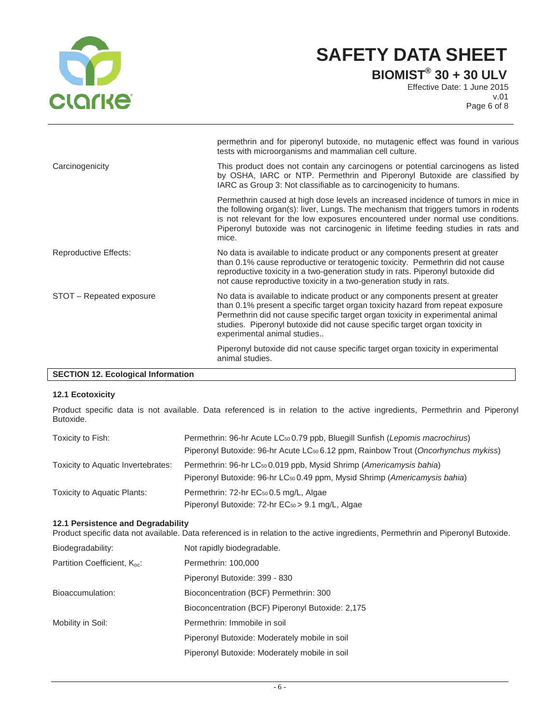

**BIOMIST® 30 + 30 ULV**

Effective Date: 1 June 2015 v.01 Page 6 of 8

|                          | permethrin and for piperonyl butoxide, no mutagenic effect was found in various<br>tests with microorganisms and mammalian cell culture.                                                                                                                                                                                                                        |
|--------------------------|-----------------------------------------------------------------------------------------------------------------------------------------------------------------------------------------------------------------------------------------------------------------------------------------------------------------------------------------------------------------|
| Carcinogenicity          | This product does not contain any carcinogens or potential carcinogens as listed<br>by OSHA, IARC or NTP. Permethrin and Piperonyl Butoxide are classified by<br>IARC as Group 3: Not classifiable as to carcinogenicity to humans.                                                                                                                             |
|                          | Permethrin caused at high dose levels an increased incidence of tumors in mice in<br>the following organ(s): liver, Lungs. The mechanism that triggers tumors in rodents<br>is not relevant for the low exposures encountered under normal use conditions.<br>Piperonyl butoxide was not carcinogenic in lifetime feeding studies in rats and<br>mice.          |
| Reproductive Effects:    | No data is available to indicate product or any components present at greater<br>than 0.1% cause reproductive or teratogenic toxicity. Permethrin did not cause<br>reproductive toxicity in a two-generation study in rats. Piperonyl butoxide did<br>not cause reproductive toxicity in a two-generation study in rats.                                        |
| STOT - Repeated exposure | No data is available to indicate product or any components present at greater<br>than 0.1% present a specific target organ toxicity hazard from repeat exposure<br>Permethrin did not cause specific target organ toxicity in experimental animal<br>studies. Piperonyl butoxide did not cause specific target organ toxicity in<br>experimental animal studies |
|                          | Piperonyl butoxide did not cause specific target organ toxicity in experimental<br>animal studies.                                                                                                                                                                                                                                                              |

## **SECTION 12. Ecological Information**

## **12.1 Ecotoxicity**

Product specific data is not available. Data referenced is in relation to the active ingredients, Permethrin and Piperonyl Butoxide.

| Toxicity to Fish:                  | Permethrin: 96-hr Acute LC <sub>50</sub> 0.79 ppb, Bluegill Sunfish (Lepomis macrochirus)<br>Piperonyl Butoxide: 96-hr Acute LC <sub>50</sub> 6.12 ppm, Rainbow Trout (Oncorhynchus mykiss) |
|------------------------------------|---------------------------------------------------------------------------------------------------------------------------------------------------------------------------------------------|
| Toxicity to Aquatic Invertebrates: | Permethrin: 96-hr LC <sub>50</sub> 0.019 ppb, Mysid Shrimp (Americamysis bahia)<br>Piperonyl Butoxide: 96-hr LC <sub>50</sub> 0.49 ppm, Mysid Shrimp (Americamysis bahia)                   |
| Toxicity to Aquatic Plants:        | Permethrin: 72-hr EC <sub>50</sub> 0.5 mg/L, Algae                                                                                                                                          |
|                                    | Piperonyl Butoxide: 72-hr EC <sub>50</sub> > 9.1 mg/L, Algae                                                                                                                                |

## **12.1 Persistence and Degradability**

Product specific data not available. Data referenced is in relation to the active ingredients, Permethrin and Piperonyl Butoxide.

| Biodegradability:                        | Not rapidly biodegradable.                       |
|------------------------------------------|--------------------------------------------------|
| Partition Coefficient, K <sub>oc</sub> : | Permethrin: 100,000                              |
|                                          | Piperonyl Butoxide: 399 - 830                    |
| Bioaccumulation:                         | Bioconcentration (BCF) Permethrin: 300           |
|                                          | Bioconcentration (BCF) Piperonyl Butoxide: 2,175 |
| Mobility in Soil:                        | Permethrin: Immobile in soil                     |
|                                          | Piperonyl Butoxide: Moderately mobile in soil    |
|                                          | Piperonyl Butoxide: Moderately mobile in soil    |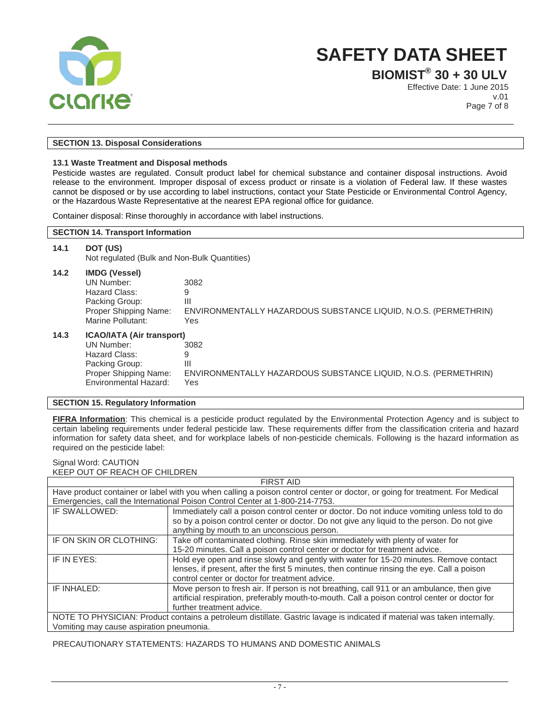

**BIOMIST® 30 + 30 ULV**

Effective Date: 1 June 2015 v.01 Page 7 of 8

## **SECTION 13. Disposal Considerations**

## **13.1 Waste Treatment and Disposal methods**

Pesticide wastes are regulated. Consult product label for chemical substance and container disposal instructions. Avoid release to the environment. Improper disposal of excess product or rinsate is a violation of Federal law. If these wastes cannot be disposed or by use according to label instructions, contact your State Pesticide or Environmental Control Agency, or the Hazardous Waste Representative at the nearest EPA regional office for guidance.

Container disposal: Rinse thoroughly in accordance with label instructions.

#### **SECTION 14. Transport Information**

| 14.1 | DOT (US)<br>Not regulated (Bulk and Non-Bulk Quantities)                                                                            |                                                                                                       |  |
|------|-------------------------------------------------------------------------------------------------------------------------------------|-------------------------------------------------------------------------------------------------------|--|
| 14.2 | <b>IMDG (Vessel)</b><br>UN Number:<br>Hazard Class:<br>Packing Group:<br>Proper Shipping Name:<br>Marine Pollutant:                 | 3082<br>9<br>Ш<br>ENVIRONMENTALLY HAZARDOUS SUBSTANCE LIQUID, N.O.S. (PERMETHRIN)<br>Yes              |  |
| 14.3 | <b>ICAO/IATA (Air transport)</b><br>UN Number:<br>Hazard Class:<br>Packing Group:<br>Proper Shipping Name:<br>Environmental Hazard: | 3082<br>9<br>$\mathbf{III}$<br>ENVIRONMENTALLY HAZARDOUS SUBSTANCE LIQUID, N.O.S. (PERMETHRIN)<br>Yes |  |

#### **SECTION 15. Regulatory Information**

**FIFRA Information**: This chemical is a pesticide product regulated by the Environmental Protection Agency and is subject to certain labeling requirements under federal pesticide law. These requirements differ from the classification criteria and hazard information for safety data sheet, and for workplace labels of non-pesticide chemicals. Following is the hazard information as required on the pesticide label:

#### Signal Word: CAUTION KEEP OUT OF REACH OF CHILDREN

| <b>FIRST AID</b>                                                                                                             |                                                                                               |  |  |  |
|------------------------------------------------------------------------------------------------------------------------------|-----------------------------------------------------------------------------------------------|--|--|--|
| Have product container or label with you when calling a poison control center or doctor, or going for treatment. For Medical |                                                                                               |  |  |  |
| Emergencies, call the International Poison Control Center at 1-800-214-7753.                                                 |                                                                                               |  |  |  |
| IF SWALLOWED:                                                                                                                | Immediately call a poison control center or doctor. Do not induce vomiting unless told to do  |  |  |  |
|                                                                                                                              | so by a poison control center or doctor. Do not give any liquid to the person. Do not give    |  |  |  |
|                                                                                                                              | anything by mouth to an unconscious person.                                                   |  |  |  |
| IF ON SKIN OR CLOTHING:                                                                                                      | Take off contaminated clothing. Rinse skin immediately with plenty of water for               |  |  |  |
|                                                                                                                              | 15-20 minutes. Call a poison control center or doctor for treatment advice.                   |  |  |  |
| IF IN EYES:                                                                                                                  | Hold eye open and rinse slowly and gently with water for 15-20 minutes. Remove contact        |  |  |  |
|                                                                                                                              | lenses, if present, after the first 5 minutes, then continue rinsing the eye. Call a poison   |  |  |  |
|                                                                                                                              | control center or doctor for treatment advice.                                                |  |  |  |
| IF INHALED:                                                                                                                  | Move person to fresh air. If person is not breathing, call 911 or an ambulance, then give     |  |  |  |
|                                                                                                                              | artificial respiration, preferably mouth-to-mouth. Call a poison control center or doctor for |  |  |  |
|                                                                                                                              | further treatment advice.                                                                     |  |  |  |
| NOTE TO PHYSICIAN: Product contains a petroleum distillate. Gastric lavage is indicated if material was taken internally.    |                                                                                               |  |  |  |
| Vomiting may cause aspiration pneumonia.                                                                                     |                                                                                               |  |  |  |

## PRECAUTIONARY STATEMENTS: HAZARDS TO HUMANS AND DOMESTIC ANIMALS